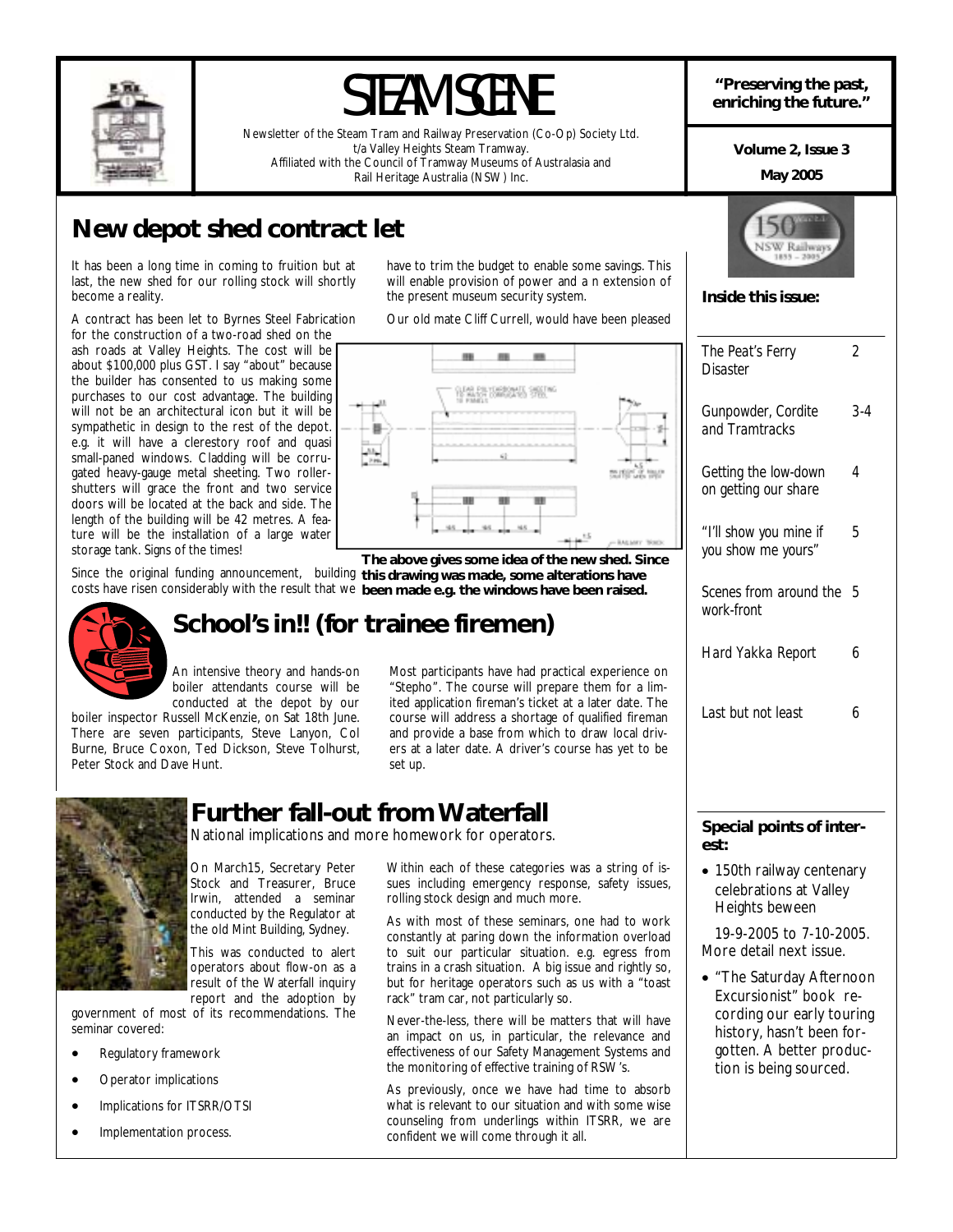

# **"Preserving the past,** STEAM SCENE **enriching the future."**

Newsletter of the Steam Tram and Railway Preservation (Co-Op) Society Ltd. t/a Valley Heights Steam Tramway. Affiliated with the Council of Tramway Museums of Australasia and Rail Heritage Australia (NSW) Inc.

**Volume 2, Issue 3** 

### **May 2005**

*2* 

*3-4* 

*4* 

*5* 

**Inside this issue:** 

*The Peat's Ferry Disaster* 

*Gunpowder, Cordite and Tramtracks* 

*Getting the low-down on getting our share* 

*"I'll show you mine if you show me yours"* 

*work-front* 

*Scenes from around the 5* 

*Hard Yakka Report 6* 

*Last but not least 6* 

# **New depot shed contract let**

It has been a long time in coming to fruition but at last, the new shed for our rolling stock will shortly become a reality.

A contract has been let to Byrnes Steel Fabrication for the construction of a two-road shed on the

ash roads at Valley Heights. The cost will be about \$100,000 plus GST. I say "about" because the builder has consented to us making some purchases to our cost advantage. The building will not be an architectural icon but it will be sympathetic in design to the rest of the depot. e.g. it will have a clerestory roof and quasi small-paned windows. Cladding will be corrugated heavy-gauge metal sheeting. Two rollershutters will grace the front and two service doors will be located at the back and side. The length of the building will be 42 metres. A feature will be the installation of a large water storage tank. Signs of the times!

Since the original funding announcement, building **this drawing was made, some alterations have**  costs have risen considerably with the result that we **been made e.g. the windows have been raised.** 



# **School's in!! (for trainee firemen)**

An intensive theory and hands-on boiler attendants course will be conducted at the depot by our

boiler inspector Russell McKenzie, on Sat 18th June. There are seven participants, Steve Lanyon, Col Burne, Bruce Coxon, Ted Dickson, Steve Tolhurst, Peter Stock and Dave Hunt.

# **Further fall-out from Waterfall**

National implications and more homework for operators.

On March15, Secretary Peter Stock and Treasurer, Bruce Irwin, attended a seminar conducted by the Regulator at the old Mint Building, Sydney.

This was conducted to alert operators about flow-on as a result of the Waterfall inquiry report and the adoption by

government of most of its recommendations. The seminar covered:

- Regulatory framework
- Operator implications
- Implications for ITSRR/OTSI
- Implementation process.

have to trim the budget to enable some savings. This will enable provision of power and a n extension of the present museum security system.

Our old mate Cliff Currell, would have been pleased



**The above gives some idea of the new shed. Since** 

Most participants have had practical experience on "Stepho". The course will prepare them for a limited application fireman's ticket at a later date. The course will address a shortage of qualified fireman and provide a base from which to draw local drivers at a later date. A driver's course has yet to be set up.

Within each of these categories was a string of issues including emergency response, safety issues,

As with most of these seminars, one had to work constantly at paring down the information overload to suit our particular situation. e.g. egress from trains in a crash situation. A big issue and rightly so, but for heritage operators such as us with a "toast

rolling stock design and much more.

rack" tram car, not particularly so.

confident we will come through it all.

# **Special points of interest:**

• 150th railway centenary celebrations at Valley Heights beween

 19-9-2005 to 7-10-2005. More detail next issue.

• "The Saturday Afternoon Excursionist" book recording our early touring history, hasn't been forgotten. A better production is being sourced.

effectiveness of our Safety Management Systems and the monitoring of effective training of RSW's. As previously, once we have had time to absorb what is relevant to our situation and with some wise

counseling from underlings within ITSRR, we are

Never-the-less, there will be matters that will have an impact on us, in particular, the relevance and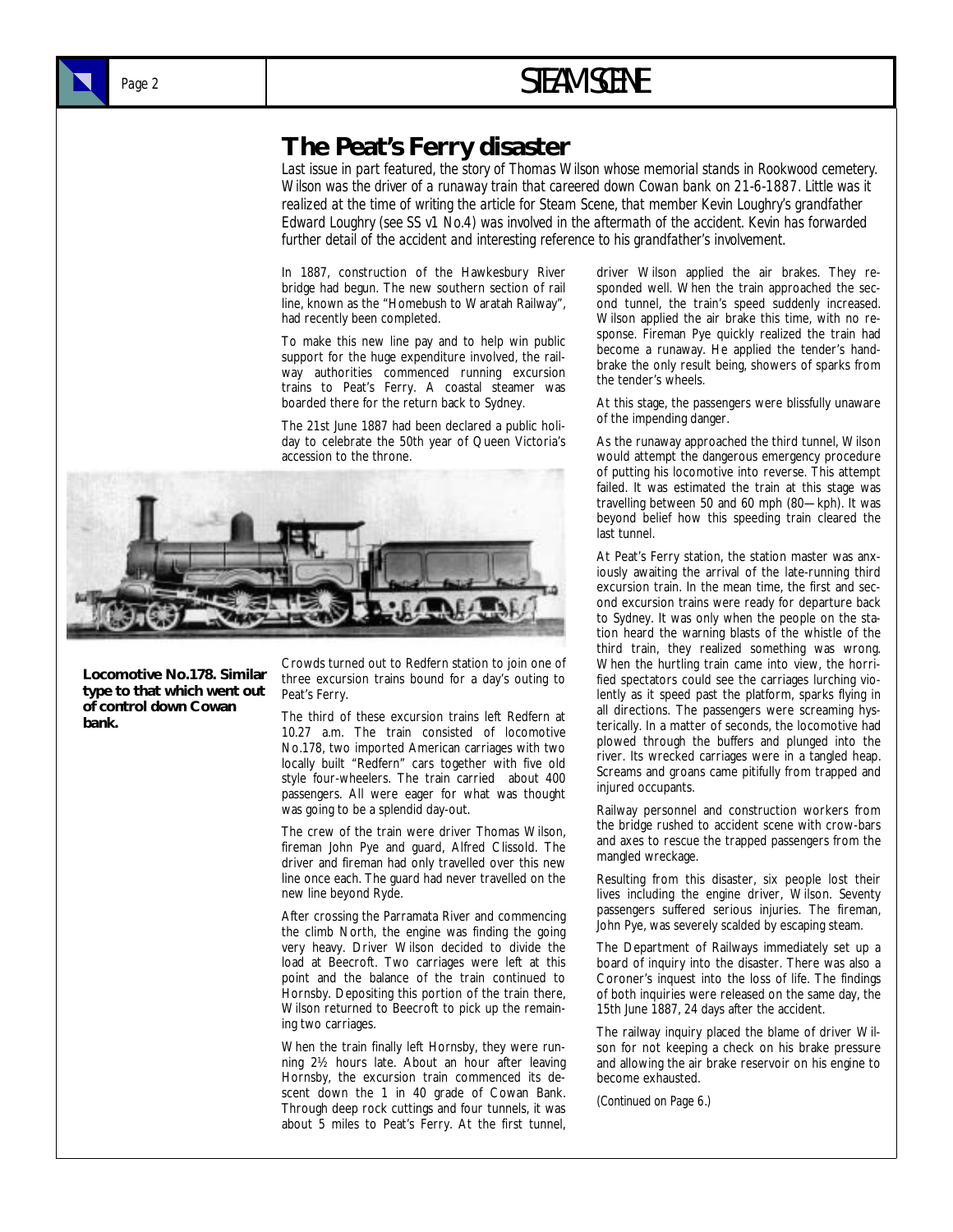# Page 2 **STEAM SCENE**

# **The Peat's Ferry disaster**

*Last issue in part featured, the story of Thomas Wilson whose memorial stands in Rookwood cemetery. Wilson was the driver of a runaway train that careered down Cowan bank on 21-6-1887. Little was it realized at the time of writing the article for Steam Scene, that member Kevin Loughry's grandfather Edward Loughry (see SS v1 No.4) was involved in the aftermath of the accident. Kevin has forwarded*  further detail of the accident and interesting reference to his grandfather's involvement.

In 1887, construction of the Hawkesbury River bridge had begun. The new southern section of rail line, known as the "Homebush to Waratah Railway", had recently been completed.

To make this new line pay and to help win public support for the huge expenditure involved, the railway authorities commenced running excursion trains to Peat's Ferry. A coastal steamer was boarded there for the return back to Sydney.

The 21st June 1887 had been declared a public holiday to celebrate the 50th year of Queen Victoria's accession to the throne.



**Locomotive No.178. Similar type to that which went out of control down Cowan bank.** 

Crowds turned out to Redfern station to join one of three excursion trains bound for a day's outing to Peat's Ferry.

The third of these excursion trains left Redfern at 10.27 a.m. The train consisted of locomotive No.178, two imported American carriages with two locally built "Redfern" cars together with five old style four-wheelers. The train carried about 400 passengers. All were eager for what was thought was going to be a splendid day-out.

The crew of the train were driver Thomas Wilson, fireman John Pye and guard, Alfred Clissold. The driver and fireman had only travelled over this new line once each. The guard had never travelled on the new line beyond Ryde.

After crossing the Parramata River and commencing the climb North, the engine was finding the going very heavy. Driver Wilson decided to divide the load at Beecroft. Two carriages were left at this point and the balance of the train continued to Hornsby. Depositing this portion of the train there, Wilson returned to Beecroft to pick up the remaining two carriages.

When the train finally left Hornsby, they were running 2½ hours late. About an hour after leaving Hornsby, the excursion train commenced its descent down the 1 in 40 grade of Cowan Bank. Through deep rock cuttings and four tunnels, it was about 5 miles to Peat's Ferry. At the first tunnel, driver Wilson applied the air brakes. They responded well. When the train approached the second tunnel, the train's speed suddenly increased. Wilson applied the air brake this time, with no response. Fireman Pye quickly realized the train had become a runaway. He applied the tender's handbrake the only result being, showers of sparks from the tender's wheels.

At this stage, the passengers were blissfully unaware of the impending danger.

As the runaway approached the third tunnel, Wilson would attempt the dangerous emergency procedure of putting his locomotive into reverse. This attempt failed. It was estimated the train at this stage was travelling between 50 and 60 mph (80—kph). It was beyond belief how this speeding train cleared the last tunnel.

At Peat's Ferry station, the station master was anxiously awaiting the arrival of the late-running third excursion train. In the mean time, the first and second excursion trains were ready for departure back to Sydney. It was only when the people on the station heard the warning blasts of the whistle of the third train, they realized something was wrong. When the hurtling train came into view, the horrified spectators could see the carriages lurching violently as it speed past the platform, sparks flying in all directions. The passengers were screaming hysterically. In a matter of seconds, the locomotive had plowed through the buffers and plunged into the river. Its wrecked carriages were in a tangled heap. Screams and groans came pitifully from trapped and injured occupants.

Railway personnel and construction workers from the bridge rushed to accident scene with crow-bars and axes to rescue the trapped passengers from the mangled wreckage.

Resulting from this disaster, six people lost their lives including the engine driver, Wilson. Seventy passengers suffered serious injuries. The fireman, John Pye, was severely scalded by escaping steam.

The Department of Railways immediately set up a board of inquiry into the disaster. There was also a Coroner's inquest into the loss of life. The findings of both inquiries were released on the same day, the 15th June 1887, 24 days after the accident.

The railway inquiry placed the blame of driver Wilson for not keeping a check on his brake pressure and allowing the air brake reservoir on his engine to become exhausted.

*(Continued on Page 6.)*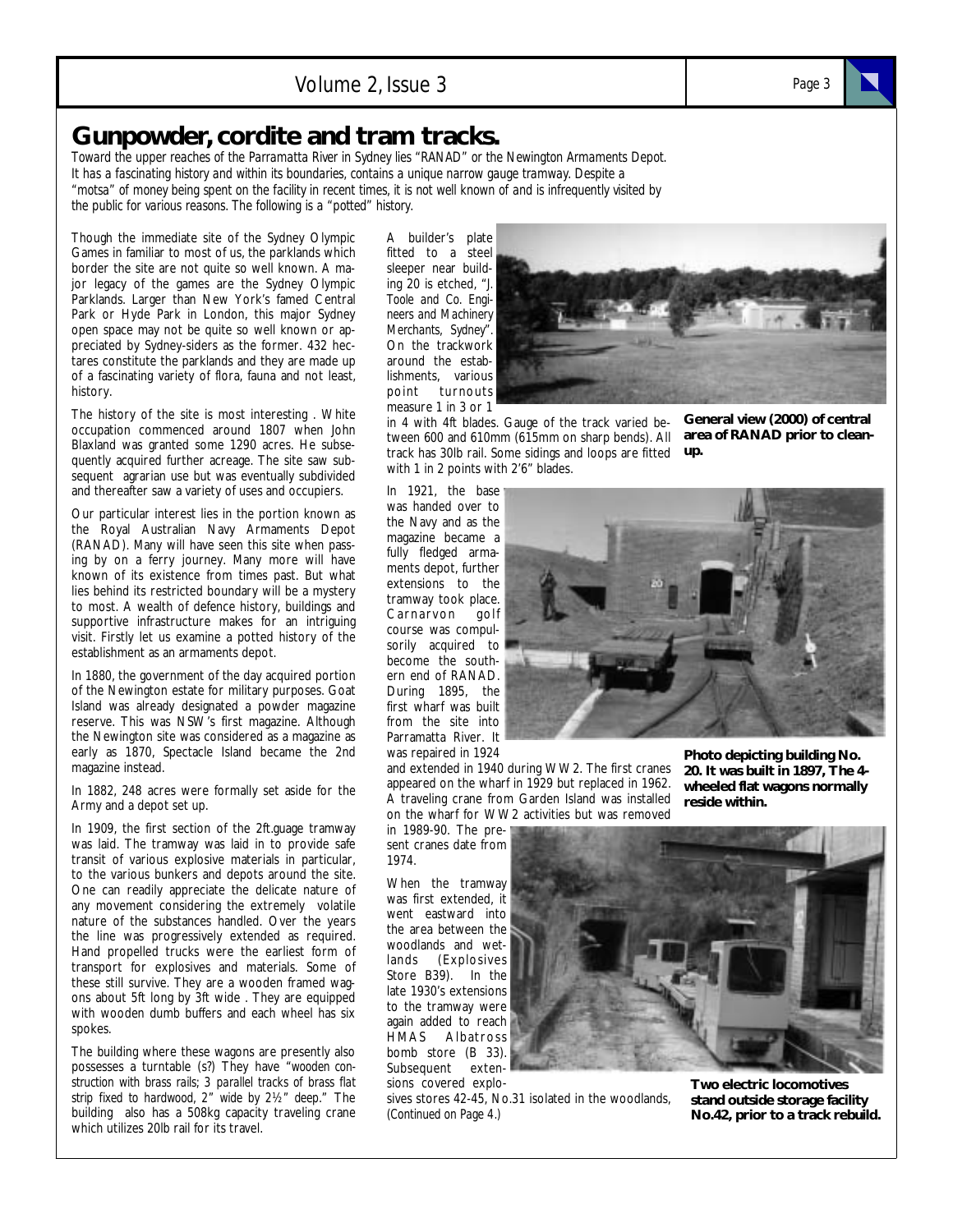# **Gunpowder, cordite and tram tracks.**

*Toward the upper reaches of the Parramatta River in Sydney lies "RANAD" or the Newington Armaments Depot. It has a fascinating history and within its boundaries, contains a unique narrow gauge tramway. Despite a "motsa" of money being spent on the facility in recent times, it is not well known of and is infrequently visited by the public for various reasons. The following is a "potted" history.* 

Though the immediate site of the Sydney Olympic Games in familiar to most of us, the parklands which border the site are not quite so well known. A major legacy of the games are the Sydney Olympic Parklands. Larger than New York's famed Central Park or Hyde Park in London, this major Sydney open space may not be quite so well known or appreciated by Sydney-siders as the former. 432 hectares constitute the parklands and they are made up of a fascinating variety of flora, fauna and not least, history.

The history of the site is most interesting . White occupation commenced around 1807 when John Blaxland was granted some 1290 acres. He subsequently acquired further acreage. The site saw subsequent agrarian use but was eventually subdivided and thereafter saw a variety of uses and occupiers.

Our particular interest lies in the portion known as the Royal Australian Navy Armaments Depot (RANAD). Many will have seen this site when passing by on a ferry journey. Many more will have known of its existence from times past. But what lies behind its restricted boundary will be a mystery to most. A wealth of defence history, buildings and supportive infrastructure makes for an intriguing visit. Firstly let us examine a potted history of the establishment as an armaments depot.

In 1880, the government of the day acquired portion of the Newington estate for military purposes. Goat Island was already designated a powder magazine reserve. This was NSW's first magazine. Although the Newington site was considered as a magazine as early as 1870, Spectacle Island became the 2nd magazine instead.

In 1882, 248 acres were formally set aside for the Army and a depot set up.

In 1909, the first section of the 2ft.guage tramway was laid. The tramway was laid in to provide safe transit of various explosive materials in particular, to the various bunkers and depots around the site. One can readily appreciate the delicate nature of any movement considering the extremely volatile nature of the substances handled. Over the years the line was progressively extended as required. Hand propelled trucks were the earliest form of transport for explosives and materials. Some of these still survive. They are a wooden framed wagons about 5ft long by 3ft wide . They are equipped with wooden dumb buffers and each wheel has six spokes.

The building where these wagons are presently also possesses a turntable (s?) They have "*wooden construction with brass rails; 3 parallel tracks of brass flat strip fixed to hardwood, 2" wide by 2½" deep*." The building also has a 508kg capacity traveling crane which utilizes 20lb rail for its travel.

A builder's plate fitted to a steel sleeper near building 20 is etched, "*J. Toole and Co. Engineers and Machinery Merchants, Sydney".* On the trackwork around the establishments, various point turnouts measure 1 in 3 or 1



in 4 with 4ft blades. Gauge of the track varied between 600 and 610mm (615mm on sharp bends). All track has 30lb rail. Some sidings and loops are fitted **up.** with 1 in 2 points with 2'6" blades.

**General view (2000) of central area of RANAD prior to clean-**

In 1921, the base was handed over to the Navy and as the magazine became a fully fledged armaments depot, further extensions to the tramway took place. Carnarvon golf course was compulsorily acquired to become the southern end of RANAD. During 1895, the first wharf was built from the site into Parramatta River. It was repaired in 1924

and extended in 1940 during WW2. The first cranes appeared on the wharf in 1929 but replaced in 1962. A traveling crane from Garden Island was installed on the wharf for WW2 activities but was removed

in 1989-90. The present cranes date from 1974.

When the tramway was first extended, it went eastward into the area between the woodlands and wetlands (Explosives Store B39). In the late 1930's extensions to the tramway were again added to reach HMAS Albatross bomb store (B 33). Subsequent extensions covered explo-

sives stores 42-45, No.31 isolated in the woodlands, *(Continued on Page 4.)* 



**Photo depicting building No. 20. It was built in 1897, The 4 wheeled flat wagons normally reside within.** 

**Two electric locomotives stand outside storage facility No.42, prior to a track rebuild.**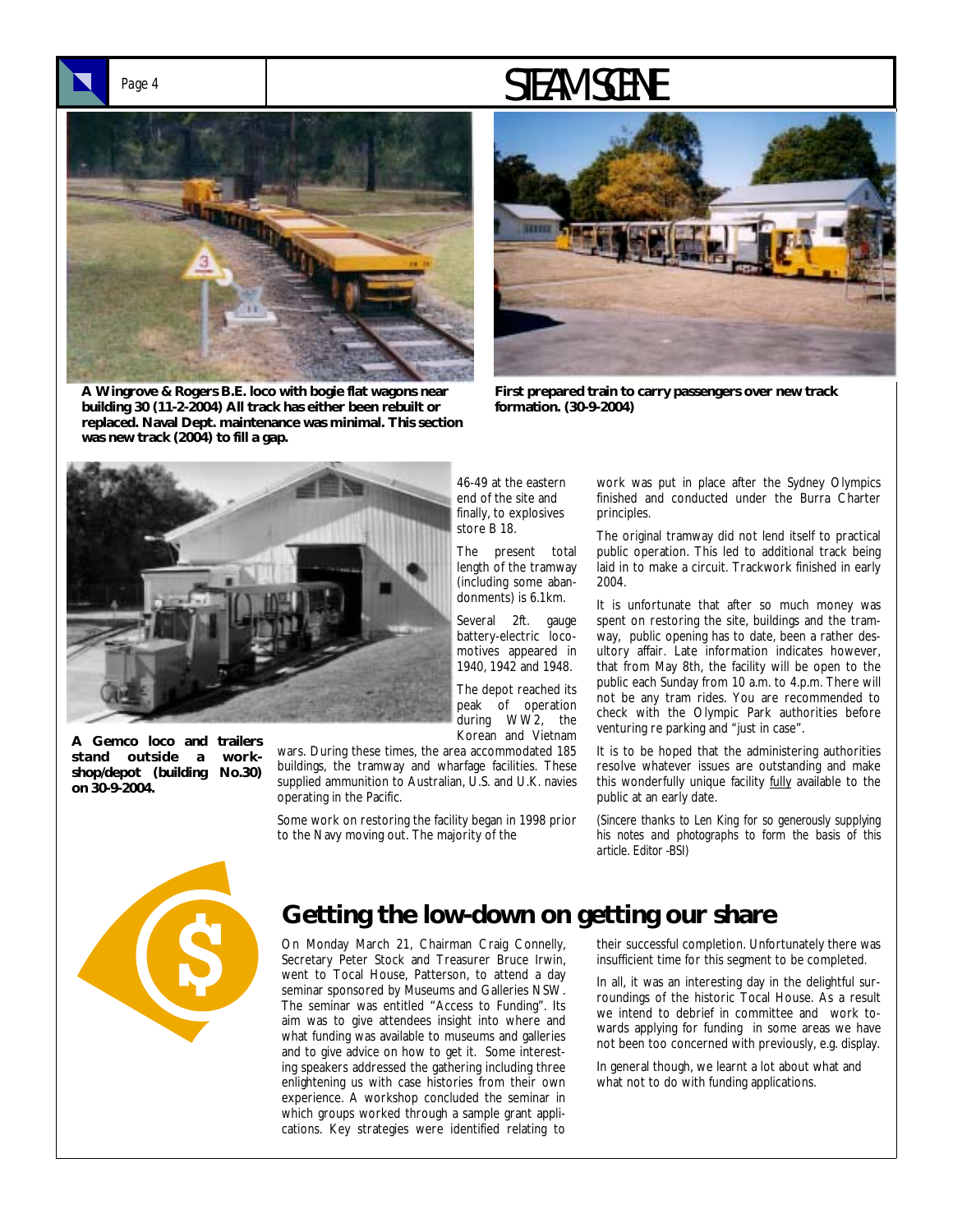# Page 4 **STEAM SCENE**



**A Wingrove & Rogers B.E. loco with bogie flat wagons near building 30 (11-2-2004) All track has either been rebuilt or replaced. Naval Dept. maintenance was minimal. This section was new track (2004) to fill a gap.** 



**First prepared train to carry passengers over new track formation. (30-9-2004)** 



**A Gemco loco and trailers stand outside a workshop/depot (building No.30) on 30-9-2004.** 

46-49 at the eastern end of the site and finally, to explosives store B 18.

The present total length of the tramway (including some abandonments) is 6.1km.

Several 2ft. gauge battery-electric locomotives appeared in 1940, 1942 and 1948.

The depot reached its peak of operation during WW2, the Korean and Vietnam

wars. During these times, the area accommodated 185 buildings, the tramway and wharfage facilities. These supplied ammunition to Australian, U.S. and U.K. navies operating in the Pacific.

Some work on restoring the facility began in 1998 prior to the Navy moving out. The majority of the

work was put in place after the Sydney Olympics finished and conducted under the Burra Charter principles.

The original tramway did not lend itself to practical public operation. This led to additional track being laid in to make a circuit. Trackwork finished in early 2004.

It is unfortunate that after so much money was spent on restoring the site, buildings and the tramway, public opening has to date, been a rather desultory affair. Late information indicates however, that from May 8th, the facility will be open to the public each Sunday from 10 a.m. to 4.p.m. There will not be any tram rides. You are recommended to check with the Olympic Park authorities before venturing re parking and "just in case".

It is to be hoped that the administering authorities resolve whatever issues are outstanding and make this wonderfully unique facility fully available to the public at an early date.

*(Sincere thanks to Len King for so generously supplying his notes and photographs to form the basis of this article. Editor -BSI)* 



# **Getting the low-down on getting our share**

On Monday March 21, Chairman Craig Connelly, Secretary Peter Stock and Treasurer Bruce Irwin, went to Tocal House, Patterson, to attend a day seminar sponsored by Museums and Galleries NSW. The seminar was entitled "Access to Funding". Its aim was to give attendees insight into where and what funding was available to museums and galleries and to give advice on how to get it. Some interesting speakers addressed the gathering including three enlightening us with case histories from their own experience. A workshop concluded the seminar in which groups worked through a sample grant applications. Key strategies were identified relating to

their successful completion. Unfortunately there was insufficient time for this segment to be completed.

In all, it was an interesting day in the delightful surroundings of the historic Tocal House. As a result we intend to debrief in committee and work towards applying for funding in some areas we have not been too concerned with previously, e.g. display.

In general though, we learnt a lot about what and what not to do with funding applications.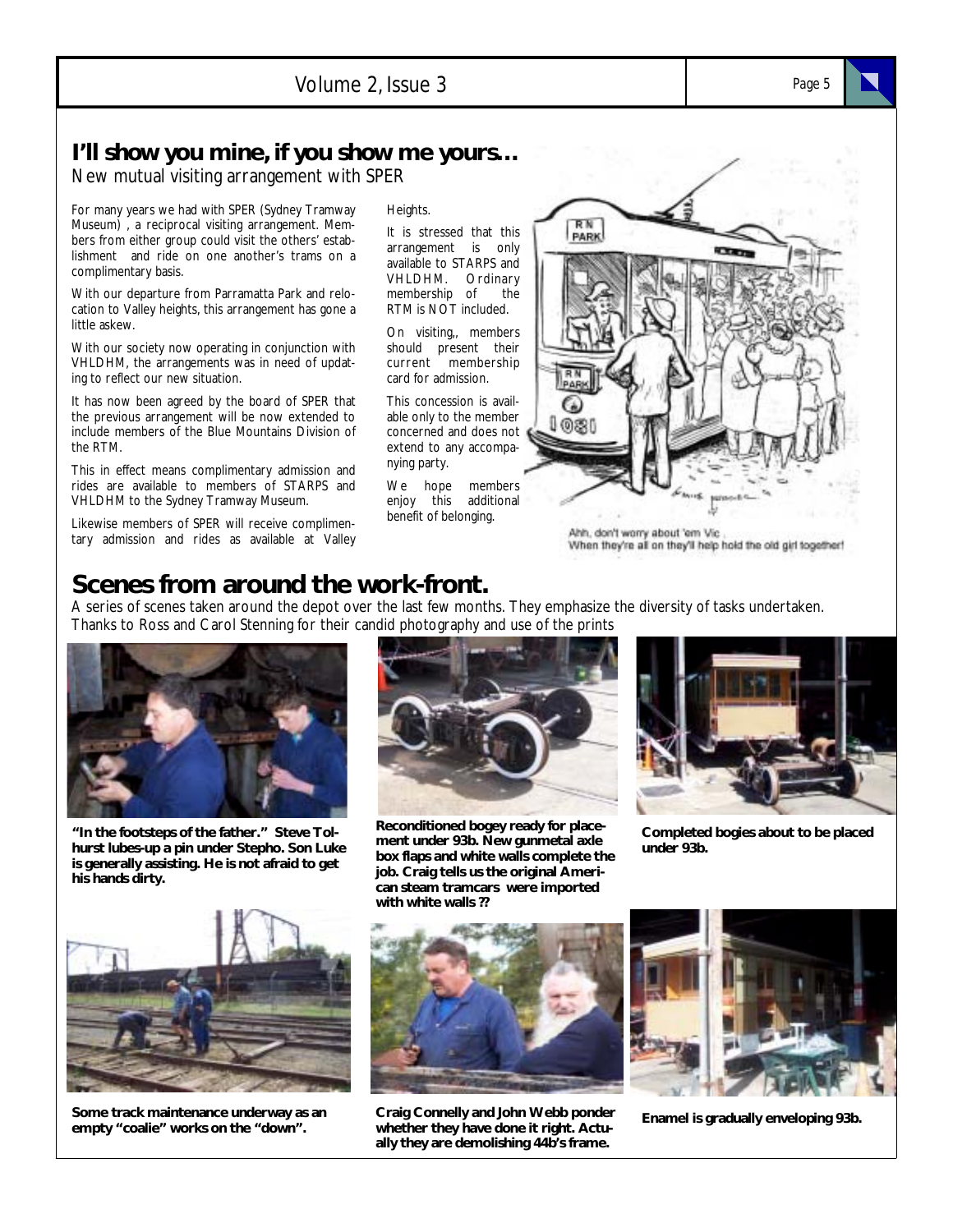## **I'll show you mine, if you show me yours…**

New mutual visiting arrangement with SPER

For many years we had with SPER (Sydney Tramway Museum) , a reciprocal visiting arrangement. Members from either group could visit the others' establishment and ride on one another's trams on a complimentary basis.

With our departure from Parramatta Park and relocation to Valley heights, this arrangement has gone a little askew.

With our society now operating in conjunction with VHLDHM, the arrangements was in need of updating to reflect our new situation.

It has now been agreed by the board of SPER that the previous arrangement will be now extended to include members of the Blue Mountains Division of the RTM.

This in effect means complimentary admission and rides are available to members of STARPS and VHLDHM to the Sydney Tramway Museum.

Likewise members of SPER will receive complimentary admission and rides as available at Valley Heights.

It is stressed that this arrangement is only available to STARPS and VHLDHM. Ordinary membership of the RTM is NOT included.

On visiting,, members should present their current membership card for admission.

This concession is available only to the member concerned and does not extend to any accompanying party.

We hope members enjoy this additional benefit of belonging.



Ahh, don't worry about 'em Vic When they're all on they'll help hold the old girl together!

# **Scenes from around the work-front.**

A series of scenes taken around the depot over the last few months. They emphasize the diversity of tasks undertaken. Thanks to Ross and Carol Stenning for their candid photography and use of the prints



**"In the footsteps of the father." Steve Tolhurst lubes-up a pin under Stepho. Son Luke is generally assisting. He is not afraid to get his hands dirty.** 



**Reconditioned bogey ready for placement under 93b. New gunmetal axle box flaps and white walls complete the job. Craig tells us the original American steam tramcars were imported with white walls ??** 



**Completed bogies about to be placed under 93b.** 



**Some track maintenance underway as an empty "coalie" works on the "down".** 



**Craig Connelly and John Webb ponder whether they have done it right. Actually they are demolishing 44b's frame.** 



**Enamel is gradually enveloping 93b.**